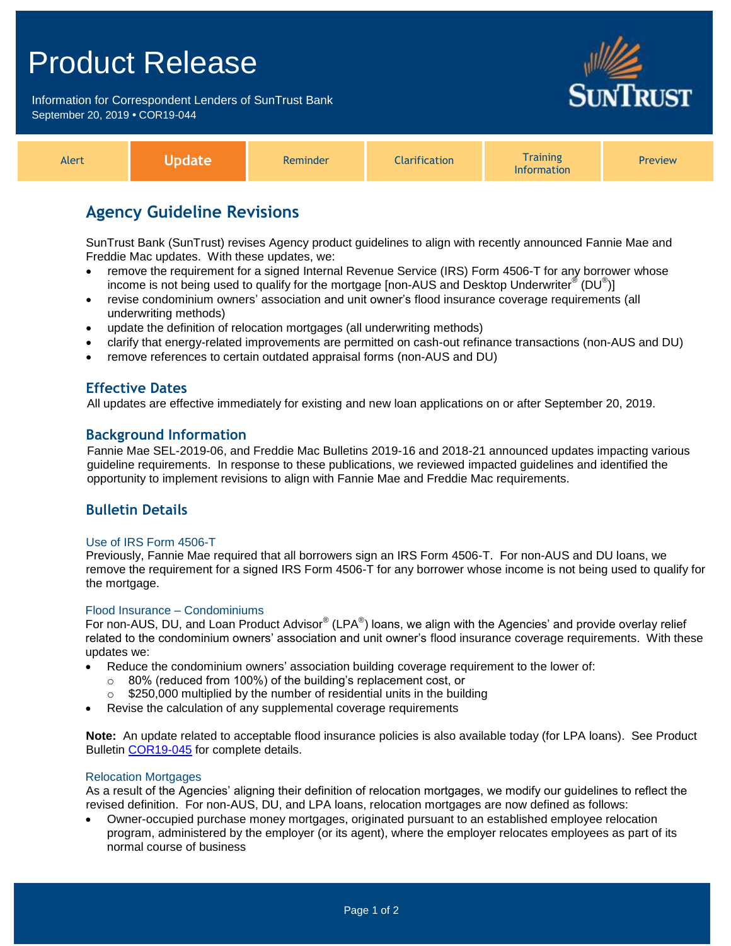# Product Release

Information for Correspondent Lenders of SunTrust Bank September 20, 2019 **•** COR19-044



| Alert | <b>Podate</b> | Reminder | <b>Clarification</b> | <b>Training</b><br><b>Information</b> | <b>Preview</b> |
|-------|---------------|----------|----------------------|---------------------------------------|----------------|
|-------|---------------|----------|----------------------|---------------------------------------|----------------|

## **Agency Guideline Revisions**

SunTrust Bank (SunTrust) revises Agency product guidelines to align with recently announced Fannie Mae and Freddie Mac updates. With these updates, we:

- remove the requirement for a signed Internal Revenue Service (IRS) Form 4506-T for any borrower whose income is not being used to qualify for the mortgage [non-AUS and Desktop Underwriter $^\circledast$  (DU $^\circledast$ )]
- revise condominium owners' association and unit owner's flood insurance coverage requirements (all underwriting methods)
- update the definition of relocation mortgages (all underwriting methods)
- clarify that energy-related improvements are permitted on cash-out refinance transactions (non-AUS and DU)
- remove references to certain outdated appraisal forms (non-AUS and DU)

## **Effective Dates**

All updates are effective immediately for existing and new loan applications on or after September 20, 2019.

### **Background Information**

Fannie Mae SEL-2019-06, and Freddie Mac Bulletins 2019-16 and 2018-21 announced updates impacting various guideline requirements. In response to these publications, we reviewed impacted guidelines and identified the opportunity to implement revisions to align with Fannie Mae and Freddie Mac requirements.

## **Bulletin Details**

### Use of IRS Form 4506-T

Previously, Fannie Mae required that all borrowers sign an IRS Form 4506-T. For non-AUS and DU loans, we remove the requirement for a signed IRS Form 4506-T for any borrower whose income is not being used to qualify for the mortgage.

### Flood Insurance – Condominiums

For non-AUS, DU, and Loan Product Advisor® (LPA®) loans, we align with the Agencies' and provide overlay relief related to the condominium owners' association and unit owner's flood insurance coverage requirements. With these updates we:

- Reduce the condominium owners' association building coverage requirement to the lower of:
	- $\circ$  80% (reduced from 100%) of the building's replacement cost, or
	- $\circ$  \$250,000 multiplied by the number of residential units in the building
- Revise the calculation of any supplemental coverage requirements

**Note:** An update related to acceptable flood insurance policies is also available today (for LPA loans). See Product Bulletin [COR19-045](https://www.truistsellerguide.com/Manual/cor/bulletins/archive/Cr19-045.pdf) for complete details.

### Relocation Mortgages

As a result of the Agencies' aligning their definition of relocation mortgages, we modify our guidelines to reflect the revised definition. For non-AUS, DU, and LPA loans, relocation mortgages are now defined as follows:

 Owner-occupied purchase money mortgages, originated pursuant to an established employee relocation program, administered by the employer (or its agent), where the employer relocates employees as part of its normal course of business